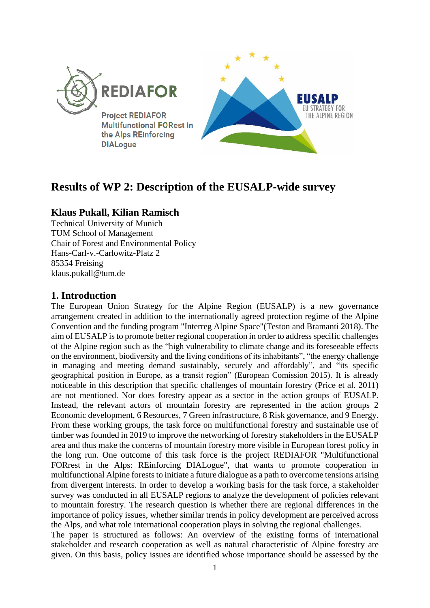

# **Results of WP 2: Description of the EUSALP-wide survey**

## **Klaus Pukall, Kilian Ramisch**

Technical University of Munich TUM School of Management Chair of Forest and Environmental Policy Hans-Carl-v.-Carlowitz-Platz 2 85354 Freising klaus.pukall@tum.de

## **1. Introduction**

The European Union Strategy for the Alpine Region (EUSALP) is a new governance arrangement created in addition to the internationally agreed protection regime of the Alpine Convention and the funding program "Interreg Alpine Space"(Teston and Bramanti 2018). The aim of EUSALP is to promote better regional cooperation in order to address specific challenges of the Alpine region such as the "high vulnerability to climate change and its foreseeable effects on the environment, biodiversity and the living conditions of its inhabitants", "the energy challenge in managing and meeting demand sustainably, securely and affordably", and "its specific geographical position in Europe, as a transit region" (European Comission 2015). It is already noticeable in this description that specific challenges of mountain forestry (Price et al. 2011) are not mentioned. Nor does forestry appear as a sector in the action groups of EUSALP. Instead, the relevant actors of mountain forestry are represented in the action groups 2 Economic development, 6 Resources, 7 Green infrastructure, 8 Risk governance, and 9 Energy. From these working groups, the task force on multifunctional forestry and sustainable use of timber was founded in 2019 to improve the networking of forestry stakeholders in the EUSALP area and thus make the concerns of mountain forestry more visible in European forest policy in the long run. One outcome of this task force is the project REDIAFOR "Multifunctional FORrest in the Alps: REinforcing DIALogue", that wants to promote cooperation in multifunctional Alpine forests to initiate a future dialogue as a path to overcome tensions arising from divergent interests. In order to develop a working basis for the task force, a stakeholder survey was conducted in all EUSALP regions to analyze the development of policies relevant to mountain forestry. The research question is whether there are regional differences in the importance of policy issues, whether similar trends in policy development are perceived across the Alps, and what role international cooperation plays in solving the regional challenges.

The paper is structured as follows: An overview of the existing forms of international stakeholder and research cooperation as well as natural characteristic of Alpine forestry are given. On this basis, policy issues are identified whose importance should be assessed by the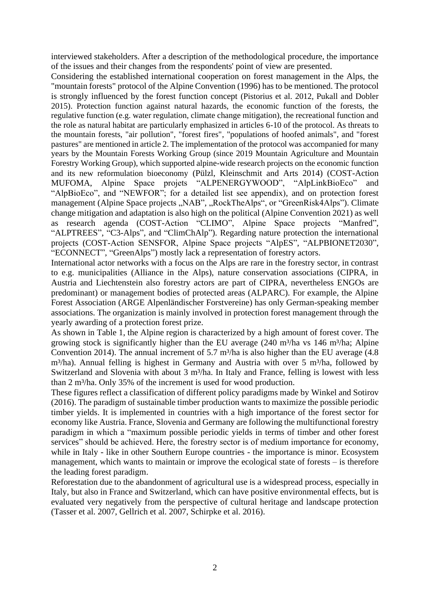interviewed stakeholders. After a description of the methodological procedure, the importance of the issues and their changes from the respondents' point of view are presented.

Considering the established international cooperation on forest management in the Alps, the "mountain forests" protocol of the Alpine Convention (1996) has to be mentioned. The protocol is strongly influenced by the forest function concept (Pistorius et al. 2012, Pukall and Dobler 2015). Protection function against natural hazards, the economic function of the forests, the regulative function (e.g. water regulation, climate change mitigation), the recreational function and the role as natural habitat are particularly emphasized in articles 6-10 of the protocol. As threats to the mountain forests, "air pollution", "forest fires", "populations of hoofed animals", and "forest pastures" are mentioned in article 2. The implementation of the protocol was accompanied for many years by the Mountain Forests Working Group (since 2019 Mountain Agriculture and Mountain Forestry Working Group), which supported alpine-wide research projects on the economic function and its new reformulation bioeconomy (Pülzl, Kleinschmit and Arts 2014) (COST-Action MUFOMA, Alpine Space projets "ALPENERGYWOOD", "AlpLinkBioEco" and "AlpBioEco", and "NEWFOR"; for a detailed list see appendix), and on protection forest management (Alpine Space projects ,,NAB", .,RockTheAlps", or "GreenRisk4Alps"). Climate change mitigation and adaptation is also high on the political (Alpine Convention 2021) as well as research agenda (COST-Action "CLIMO", Alpine Space projects "Manfred", "ALPTREES", "C3-Alps", and "ClimChAlp"). Regarding nature protection the international projects (COST-Action SENSFOR, Alpine Space projects "AlpES", "ALPBIONET2030", "ECONNECT", "GreenAlps") mostly lack a representation of forestry actors.

International actor networks with a focus on the Alps are rare in the forestry sector, in contrast to e.g. municipalities (Alliance in the Alps), nature conservation associations (CIPRA, in Austria and Liechtenstein also forestry actors are part of CIPRA, nevertheless ENGOs are predominant) or management bodies of protected areas (ALPARC). For example, the Alpine Forest Association (ARGE Alpenländischer Forstvereine) has only German-speaking member associations. The organization is mainly involved in protection forest management through the yearly awarding of a protection forest prize.

As shown in Table 1, the Alpine region is characterized by a high amount of forest cover. The growing stock is significantly higher than the EU average  $(240 \text{ m}^3/\text{ha} \text{ vs } 146 \text{ m}^3/\text{ha})$ ; Alpine Convention 2014). The annual increment of 5.7 m<sup>3</sup>/ha is also higher than the EU average  $(4.8)$  $m<sup>3</sup>/ha$ ). Annual felling is highest in Germany and Austria with over 5 m<sup>3</sup>/ha, followed by Switzerland and Slovenia with about 3 m<sup>3</sup>/ha. In Italy and France, felling is lowest with less than 2 m<sup>3</sup>/ha. Only 35% of the increment is used for wood production.

These figures reflect a classification of different policy paradigms made by Winkel and Sotirov (2016). The paradigm of sustainable timber production wants to maximize the possible periodic timber yields. It is implemented in countries with a high importance of the forest sector for economy like Austria. France, Slovenia and Germany are following the multifunctional forestry paradigm in which a "maximum possible periodic yields in terms of timber and other forest services" should be achieved. Here, the forestry sector is of medium importance for economy, while in Italy - like in other Southern Europe countries - the importance is minor. Ecosystem management, which wants to maintain or improve the ecological state of forests – is therefore the leading forest paradigm.

Reforestation due to the abandonment of agricultural use is a widespread process, especially in Italy, but also in France and Switzerland, which can have positive environmental effects, but is evaluated very negatively from the perspective of cultural heritage and landscape protection (Tasser et al. 2007, Gellrich et al. 2007, Schirpke et al. 2016).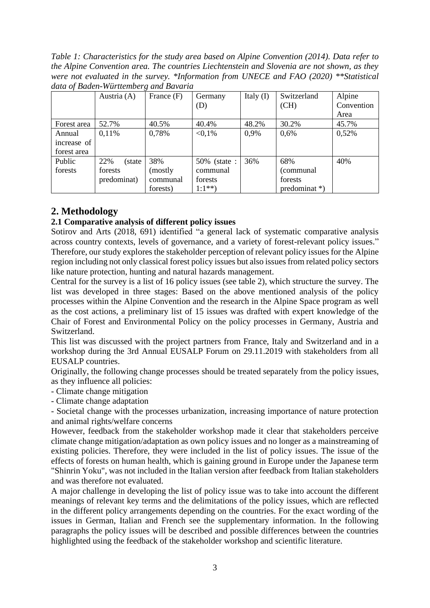*Table 1: Characteristics for the study area based on Alpine Convention (2014). Data refer to the Alpine Convention area. The countries Liechtenstein and Slovenia are not shown, as they were not evaluated in the survey. \*Information from UNECE and FAO (2020) \*\*Statistical data of Baden-Württemberg and Bavaria*

|             | Austria (A)    | ີ<br>France (F) | Germany      | Italy $(I)$ | Switzerland                 | Alpine     |  |  |
|-------------|----------------|-----------------|--------------|-------------|-----------------------------|------------|--|--|
|             |                |                 | (D)          |             | (CH)                        | Convention |  |  |
|             |                |                 |              |             |                             | Area       |  |  |
| Forest area | 52.7%          | 40.5%           | 40.4%        | 48.2%       | 30.2%                       | 45.7%      |  |  |
| Annual      | 0.11%          | 0,78%           | $< 0.1\%$    | 0,9%        | 0,6%                        | 0,52%      |  |  |
| increase of |                |                 |              |             |                             |            |  |  |
| forest area |                |                 |              |             |                             |            |  |  |
| Public      | 22%<br>(state) | 38%             | 50% (state : | 36%         | 68%                         | 40%        |  |  |
| forests     | forests        | (mostly)        | communal     |             | (communal                   |            |  |  |
|             | predominat)    | communal        | forests      |             | forests                     |            |  |  |
|             |                | forests)        | $1:1^{**}$   |             | $predominat$ <sup>*</sup> ) |            |  |  |

## **2. Methodology**

### **2.1 Comparative analysis of different policy issues**

Sotirov and Arts (2018, 691) identified "a general lack of systematic comparative analysis across country contexts, levels of governance, and a variety of forest-relevant policy issues." Therefore, our study explores the stakeholder perception of relevant policy issues for the Alpine region including not only classical forest policy issues but also issues from related policy sectors like nature protection, hunting and natural hazards management.

Central for the survey is a list of 16 policy issues (see table 2), which structure the survey. The list was developed in three stages: Based on the above mentioned analysis of the policy processes within the Alpine Convention and the research in the Alpine Space program as well as the cost actions, a preliminary list of 15 issues was drafted with expert knowledge of the Chair of Forest and Environmental Policy on the policy processes in Germany, Austria and Switzerland.

This list was discussed with the project partners from France, Italy and Switzerland and in a workshop during the 3rd Annual EUSALP Forum on 29.11.2019 with stakeholders from all EUSALP countries.

Originally, the following change processes should be treated separately from the policy issues, as they influence all policies:

- Climate change mitigation

- Climate change adaptation

- Societal change with the processes urbanization, increasing importance of nature protection and animal rights/welfare concerns

However, feedback from the stakeholder workshop made it clear that stakeholders perceive climate change mitigation/adaptation as own policy issues and no longer as a mainstreaming of existing policies. Therefore, they were included in the list of policy issues. The issue of the effects of forests on human health, which is gaining ground in Europe under the Japanese term "Shinrin Yoku", was not included in the Italian version after feedback from Italian stakeholders and was therefore not evaluated.

A major challenge in developing the list of policy issue was to take into account the different meanings of relevant key terms and the delimitations of the policy issues, which are reflected in the different policy arrangements depending on the countries. For the exact wording of the issues in German, Italian and French see the supplementary information. In the following paragraphs the policy issues will be described and possible differences between the countries highlighted using the feedback of the stakeholder workshop and scientific literature.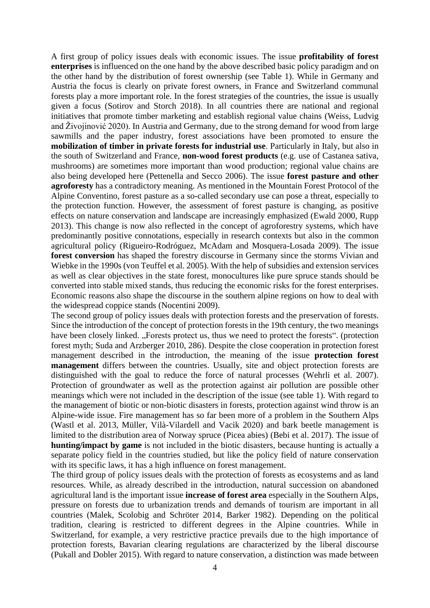A first group of policy issues deals with economic issues. The issue **profitability of forest enterprises** is influenced on the one hand by the above described basic policy paradigm and on the other hand by the distribution of forest ownership (see Table 1). While in Germany and Austria the focus is clearly on private forest owners, in France and Switzerland communal forests play a more important role. In the forest strategies of the countries, the issue is usually given a focus (Sotirov and Storch 2018). In all countries there are national and regional initiatives that promote timber marketing and establish regional value chains (Weiss, Ludvig and Živojinović 2020). In Austria and Germany, due to the strong demand for wood from large sawmills and the paper industry, forest associations have been promoted to ensure the **mobilization of timber in private forests for industrial use**. Particularly in Italy, but also in the south of Switzerland and France, **non-wood forest products** (e.g. use of Castanea sativa, mushrooms) are sometimes more important than wood production; regional value chains are also being developed here (Pettenella and Secco 2006). The issue **forest pasture and other agroforesty** has a contradictory meaning. As mentioned in the Mountain Forest Protocol of the Alpine Conventino, forest pasture as a so-called secondary use can pose a threat, especially to the protection function. However, the assessment of forest pasture is changing, as positive effects on nature conservation and landscape are increasingly emphasized (Ewald 2000, Rupp 2013). This change is now also reflected in the concept of agroforestry systems, which have predominantly positive connotations, especially in research contexts but also in the common agricultural policy (Rigueiro-Rodróguez, McAdam and Mosquera-Losada 2009). The issue **forest conversion** has shaped the forestry discourse in Germany since the storms Vivian and Wiebke in the 1990s (von Teuffel et al. 2005). With the help of subsidies and extension services as well as clear objectives in the state forest, monocultures like pure spruce stands should be converted into stable mixed stands, thus reducing the economic risks for the forest enterprises. Economic reasons also shape the discourse in the southern alpine regions on how to deal with the widespread coppice stands (Nocentini 2009).

The second group of policy issues deals with protection forests and the preservation of forests. Since the introduction of the concept of protection forests in the 19th century, the two meanings have been closely linked. "Forests protect us, thus we need to protect the forests". (protection forest myth; Suda and Arzberger 2010, 286). Despite the close cooperation in protection forest management described in the introduction, the meaning of the issue **protection forest management** differs between the countries. Usually, site and object protection forests are distinguished with the goal to reduce the force of natural processes (Wehrli et al. 2007). Protection of groundwater as well as the protection against air pollution are possible other meanings which were not included in the description of the issue (see table 1). With regard to the management of biotic or non-biotic disasters in forests, protection against wind throw is an Alpine-wide issue. Fire management has so far been more of a problem in the Southern Alps (Wastl et al. 2013, Müller, Vilà-Vilardell and Vacik 2020) and bark beetle management is limited to the distribution area of Norway spruce (Picea abies) (Bebi et al. 2017). The issue of **hunting/impact by game** is not included in the biotic disasters, because hunting is actually a separate policy field in the countries studied, but like the policy field of nature conservation with its specific laws, it has a high influence on forest management.

The third group of policy issues deals with the protection of forests as ecosystems and as land resources. While, as already described in the introduction, natural succession on abandoned agricultural land is the important issue **increase of forest area** especially in the Southern Alps, pressure on forests due to urbanization trends and demands of tourism are important in all countries (Malek, Scolobig and Schröter 2014, Barker 1982). Depending on the political tradition, clearing is restricted to different degrees in the Alpine countries. While in Switzerland, for example, a very restrictive practice prevails due to the high importance of protection forests, Bavarian clearing regulations are characterized by the liberal discourse (Pukall and Dobler 2015). With regard to nature conservation, a distinction was made between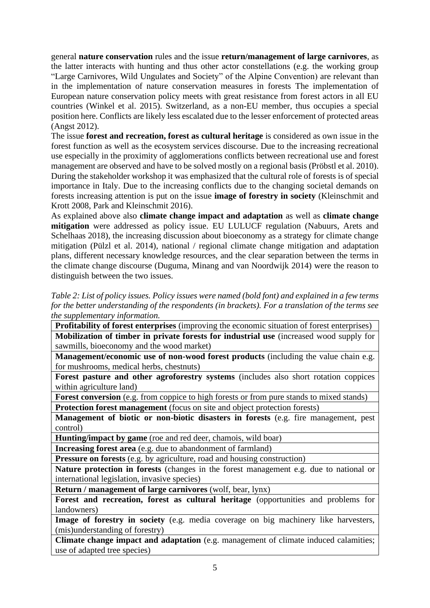general **nature conservation** rules and the issue **return/management of large carnivores**, as the latter interacts with hunting and thus other actor constellations (e.g. the working group "Large Carnivores, Wild Ungulates and Society" of the Alpine Convention) are relevant than in the implementation of nature conservation measures in forests The implementation of European nature conservation policy meets with great resistance from forest actors in all EU countries (Winkel et al. 2015). Switzerland, as a non-EU member, thus occupies a special position here. Conflicts are likely less escalated due to the lesser enforcement of protected areas (Angst 2012).

The issue **forest and recreation, forest as cultural heritage** is considered as own issue in the forest function as well as the ecosystem services discourse. Due to the increasing recreational use especially in the proximity of agglomerations conflicts between recreational use and forest management are observed and have to be solved mostly on a regional basis (Pröbstl et al. 2010). During the stakeholder workshop it was emphasized that the cultural role of forests is of special importance in Italy. Due to the increasing conflicts due to the changing societal demands on forests increasing attention is put on the issue **image of forestry in society** (Kleinschmit and Krott 2008, Park and Kleinschmit 2016).

As explained above also **climate change impact and adaptation** as well as **climate change mitigation** were addressed as policy issue. EU LULUCF regulation (Nabuurs, Arets and Schelhaas 2018), the increasing discussion about bioeconomy as a strategy for climate change mitigation (Pülzl et al. 2014), national / regional climate change mitigation and adaptation plans, different necessary knowledge resources, and the clear separation between the terms in the climate change discourse (Duguma, Minang and van Noordwijk 2014) were the reason to distinguish between the two issues.

*Table 2: List of policy issues. Policy issues were named (bold font) and explained in a few terms for the better understanding of the respondents (in brackets). For a translation of the terms see the supplementary information.*

| <b>Profitability of forest enterprises</b> (improving the economic situation of forest enterprises) |
|-----------------------------------------------------------------------------------------------------|
| Mobilization of timber in private forests for industrial use (increased wood supply for             |
| sawmills, bioeconomy and the wood market)                                                           |
| Management/economic use of non-wood forest products (including the value chain e.g.                 |
| for mushrooms, medical herbs, chestnuts)                                                            |
| <b>Forest pasture and other agroforestry systems</b> (includes also short rotation coppices         |
| within agriculture land)                                                                            |
| <b>Forest conversion</b> (e.g. from coppice to high forests or from pure stands to mixed stands)    |
| <b>Protection forest management</b> (focus on site and object protection forests)                   |
| Management of biotic or non-biotic disasters in forests (e.g. fire management, pest                 |
| control)                                                                                            |
| Hunting/impact by game (roe and red deer, chamois, wild boar)                                       |
| <b>Increasing forest area</b> (e.g. due to abandonment of farmland)                                 |
| <b>Pressure on forests</b> (e.g. by agriculture, road and housing construction)                     |
| Nature protection in forests (changes in the forest management e.g. due to national or              |
| international legislation, invasive species)                                                        |
| Return / management of large carnivores (wolf, bear, lynx)                                          |
| Forest and recreation, forest as cultural heritage (opportunities and problems for                  |
| landowners)                                                                                         |
| Image of forestry in society (e.g. media coverage on big machinery like harvesters,                 |
| (mis)understanding of forestry)                                                                     |
| <b>Climate change impact and adaptation</b> (e.g. management of climate induced calamities:         |

**Climate change impact and adaptation** (e.g. management of climate induced calamities; use of adapted tree species)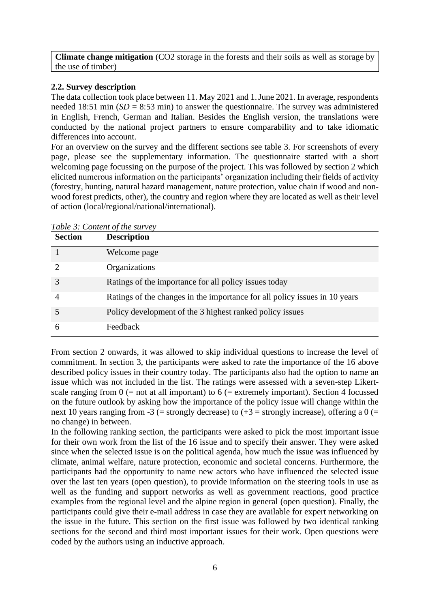**Climate change mitigation** (CO2 storage in the forests and their soils as well as storage by the use of timber)

#### **2.2. Survey description**

The data collection took place between 11. May 2021 and 1.June 2021. In average, respondents needed 18:51 min  $(SD = 8:53$  min) to answer the questionnaire. The survey was administered in English, French, German and Italian. Besides the English version, the translations were conducted by the national project partners to ensure comparability and to take idiomatic differences into account.

For an overview on the survey and the different sections see table 3. For screenshots of every page, please see the supplementary information. The questionnaire started with a short welcoming page focussing on the purpose of the project. This was followed by section 2 which elicited numerous information on the participants' organization including their fields of activity (forestry, hunting, natural hazard management, nature protection, value chain if wood and nonwood forest predicts, other), the country and region where they are located as well as their level of action (local/regional/national/international).

| <b>Section</b>              | <b>Description</b>                                                         |
|-----------------------------|----------------------------------------------------------------------------|
|                             | Welcome page                                                               |
| $\mathcal{D}_{\mathcal{L}}$ | Organizations                                                              |
| 3                           | Ratings of the importance for all policy issues today                      |
|                             | Ratings of the changes in the importance for all policy issues in 10 years |
|                             | Policy development of the 3 highest ranked policy issues                   |
| 6                           | Feedback                                                                   |

*Table 3: Content of the survey*

From section 2 onwards, it was allowed to skip individual questions to increase the level of commitment. In section 3, the participants were asked to rate the importance of the 16 above described policy issues in their country today. The participants also had the option to name an issue which was not included in the list. The ratings were assessed with a seven-step Likertscale ranging from  $0 (= not at all important)$  to  $6 (= extremely important)$ . Section 4 focussed on the future outlook by asking how the importance of the policy issue will change within the next 10 years ranging from -3 (= strongly decrease) to  $(+3)$  = strongly increase), offering a 0 (= no change) in between.

In the following ranking section, the participants were asked to pick the most important issue for their own work from the list of the 16 issue and to specify their answer. They were asked since when the selected issue is on the political agenda, how much the issue was influenced by climate, animal welfare, nature protection, economic and societal concerns. Furthermore, the participants had the opportunity to name new actors who have influenced the selected issue over the last ten years (open question), to provide information on the steering tools in use as well as the funding and support networks as well as government reactions, good practice examples from the regional level and the alpine region in general (open question). Finally, the participants could give their e-mail address in case they are available for expert networking on the issue in the future. This section on the first issue was followed by two identical ranking sections for the second and third most important issues for their work. Open questions were coded by the authors using an inductive approach.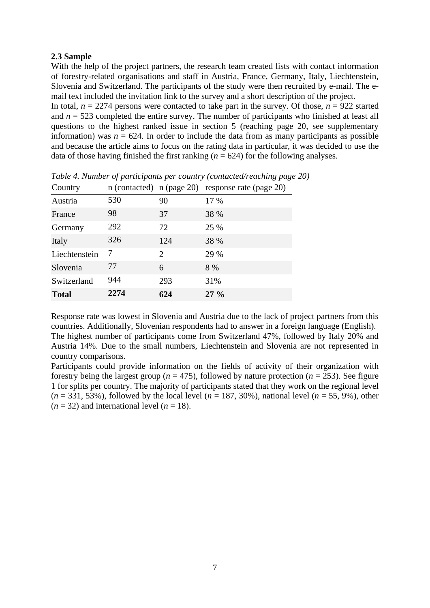#### **2.3 Sample**

With the help of the project partners, the research team created lists with contact information of forestry-related organisations and staff in Austria, France, Germany, Italy, Liechtenstein, Slovenia and Switzerland. The participants of the study were then recruited by e-mail. The email text included the invitation link to the survey and a short description of the project.

In total,  $n = 2274$  persons were contacted to take part in the survey. Of those,  $n = 922$  started and  $n = 523$  completed the entire survey. The number of participants who finished at least all questions to the highest ranked issue in section 5 (reaching page 20, see supplementary information) was  $n = 624$ . In order to include the data from as many participants as possible and because the article aims to focus on the rating data in particular, it was decided to use the data of those having finished the first ranking  $(n = 624)$  for the following analyses.

| Country       | $n$ (contacted) $n$ (page 20) |                             | response rate (page 20) |
|---------------|-------------------------------|-----------------------------|-------------------------|
| Austria       | 530                           | 90                          | 17 %                    |
| France        | 98                            | 37                          | 38 %                    |
| Germany       | 292                           | 72                          | 25 %                    |
| Italy         | 326                           | 124                         | 38 %                    |
| Liechtenstein | 7                             | $\mathcal{D}_{\mathcal{L}}$ | 29 %                    |
| Slovenia      | 77                            | 6                           | 8 %                     |
| Switzerland   | 944                           | 293                         | 31%                     |
| <b>Total</b>  | 2274                          | 624                         | $27\%$                  |

*Table 4. Number of participants per country (contacted/reaching page 20)*

Response rate was lowest in Slovenia and Austria due to the lack of project partners from this countries. Additionally, Slovenian respondents had to answer in a foreign language (English). The highest number of participants come from Switzerland 47%, followed by Italy 20% and Austria 14%. Due to the small numbers, Liechtenstein and Slovenia are not represented in country comparisons.

Participants could provide information on the fields of activity of their organization with forestry being the largest group ( $n = 475$ ), followed by nature protection ( $n = 253$ ). See figure 1 for splits per country. The majority of participants stated that they work on the regional level  $(n = 331, 53\%)$ , followed by the local level  $(n = 187, 30\%)$ , national level  $(n = 55, 9\%)$ , other  $(n = 32)$  and international level  $(n = 18)$ .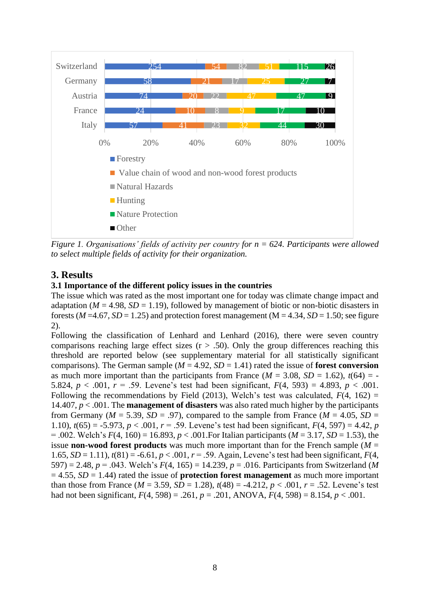

*Figure 1. Organisations' fields of activity per country for n = 624. Participants were allowed to select multiple fields of activity for their organization.*

# **3. Results**

### **3.1 Importance of the different policy issues in the countries**

The issue which was rated as the most important one for today was climate change impact and adaptation ( $M = 4.98$ ,  $SD = 1.19$ ), followed by management of biotic or non-biotic disasters in forests ( $M = 4.67$ ,  $SD = 1.25$ ) and protection forest management ( $M = 4.34$ ,  $SD = 1.50$ ; see figure 2).

Following the classification of Lenhard and Lenhard (2016), there were seven country comparisons reaching large effect sizes  $(r > .50)$ . Only the group differences reaching this threshold are reported below (see supplementary material for all statistically significant comparisons). The German sample ( $M = 4.92$ ,  $SD = 1.41$ ) rated the issue of **forest conversion** as much more important than the participants from France ( $M = 3.08$ ,  $SD = 1.62$ ),  $t(64) = -$ 5.824,  $p < .001$ ,  $r = .59$ . Levene's test had been significant,  $F(4, 593) = 4.893$ ,  $p < .001$ . Following the recommendations by Field (2013), Welch's test was calculated,  $F(4, 162) =$ 14.407, *p* < .001. The **management of disasters** was also rated much higher by the participants from Germany ( $M = 5.39$ ,  $SD = .97$ ), compared to the sample from France ( $M = 4.05$ ,  $SD =$ 1.10),  $t(65) = -5.973$ ,  $p < .001$ ,  $r = .59$ . Levene's test had been significant,  $F(4, 597) = 4.42$ , *p* = .002. Welch's *F*(4, 160) = 16.893, *p* < .001.For Italian participants (*M* = 3.17, *SD* = 1.53), the issue **non-wood forest products** was much more important than for the French sample ( $M =$ 1.65,  $SD = 1.11$ ),  $t(81) = -6.61$ ,  $p < .001$ ,  $r = .59$ . Again, Levene's test had been significant,  $F(4, r)$ 597) = 2.48, *p* = .043. Welch's *F*(4, 165) = 14.239, *p* = .016. Participants from Switzerland (*M*  $= 4.55$ ,  $SD = 1.44$ ) rated the issue of **protection forest management** as much more important than those from France ( $M = 3.59$ ,  $SD = 1.28$ ),  $t(48) = -4.212$ ,  $p < .001$ ,  $r = .52$ . Levene's test had not been significant,  $F(4, 598) = .261$ ,  $p = .201$ , ANOVA,  $F(4, 598) = 8.154$ ,  $p < .001$ .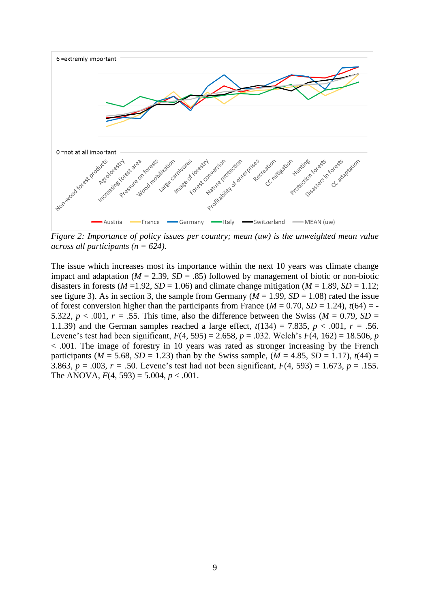

*Figure 2: Importance of policy issues per country; mean (uw) is the unweighted mean value across all participants (n = 624).* 

The issue which increases most its importance within the next 10 years was climate change impact and adaptation ( $M = 2.39$ ,  $SD = .85$ ) followed by management of biotic or non-biotic disasters in forests ( $M = 1.92$ ,  $SD = 1.06$ ) and climate change mitigation ( $M = 1.89$ ,  $SD = 1.12$ ; see figure 3). As in section 3, the sample from Germany ( $M = 1.99$ ,  $SD = 1.08$ ) rated the issue of forest conversion higher than the participants from France  $(M = 0.70, SD = 1.24)$ ,  $t(64) = -$ 5.322,  $p < .001$ ,  $r = .55$ . This time, also the difference between the Swiss ( $M = 0.79$ ,  $SD =$ 1.1.39) and the German samples reached a large effect,  $t(134) = 7.835$ ,  $p < .001$ ,  $r = .56$ . Levene's test had been significant, *F*(4, 595) = 2.658, *p* = .032. Welch's *F*(4, 162) = 18.506, *p* < .001. The image of forestry in 10 years was rated as stronger increasing by the French participants ( $M = 5.68$ ,  $SD = 1.23$ ) than by the Swiss sample, ( $M = 4.85$ ,  $SD = 1.17$ ),  $t(44) =$ 3.863,  $p = .003$ ,  $r = .50$ . Levene's test had not been significant,  $F(4, 593) = 1.673$ ,  $p = .155$ . The ANOVA,  $F(4, 593) = 5.004$ ,  $p < .001$ .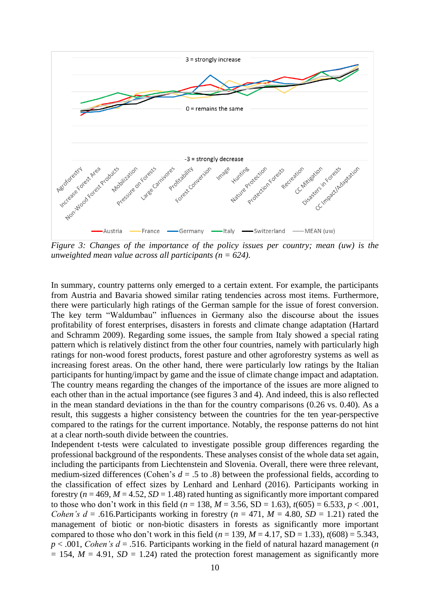

*Figure 3: Changes of the importance of the policy issues per country; mean (uw) is the unweighted mean value across all participants (n = 624).* 

In summary, country patterns only emerged to a certain extent. For example, the participants from Austria and Bavaria showed similar rating tendencies across most items. Furthermore, there were particularly high ratings of the German sample for the issue of forest conversion. The key term "Waldumbau" influences in Germany also the discourse about the issues profitability of forest enterprises, disasters in forests and climate change adaptation (Hartard and Schramm 2009). Regarding some issues, the sample from Italy showed a special rating pattern which is relatively distinct from the other four countries, namely with particularly high ratings for non-wood forest products, forest pasture and other agroforestry systems as well as increasing forest areas. On the other hand, there were particularly low ratings by the Italian participants for hunting/impact by game and the issue of climate change impact and adaptation. The country means regarding the changes of the importance of the issues are more aligned to each other than in the actual importance (see figures 3 and 4). And indeed, this is also reflected in the mean standard deviations in the than for the country comparisons (0.26 vs. 0.40). As a result, this suggests a higher consistency between the countries for the ten year-perspective compared to the ratings for the current importance. Notably, the response patterns do not hint at a clear north-south divide between the countries.

Independent t-tests were calculated to investigate possible group differences regarding the professional background of the respondents. These analyses consist of the whole data set again, including the participants from Liechtenstein and Slovenia. Overall, there were three relevant, medium-sized differences (Cohen's  $d = .5$  to  $.8$ ) between the professional fields, according to the classification of effect sizes by Lenhard and Lenhard (2016). Participants working in forestry ( $n = 469$ ,  $M = 4.52$ ,  $SD = 1.48$ ) rated hunting as significantly more important compared to those who don't work in this field ( $n = 138$ ,  $M = 3.56$ , SD = 1.63),  $t(605) = 6.533$ ,  $p < .001$ , *Cohen's d* = .616. Participants working in forestry ( $n = 471$ ,  $M = 4.80$ ,  $SD = 1.21$ ) rated the management of biotic or non-biotic disasters in forests as significantly more important compared to those who don't work in this field  $(n = 139, M = 4.17, SD = 1.33)$ ,  $t(608) = 5.343$ ,  $p < .001$ , *Cohen's d* = .516. Participants working in the field of natural hazard management (*n*  $= 154$ ,  $M = 4.91$ ,  $SD = 1.24$ ) rated the protection forest management as significantly more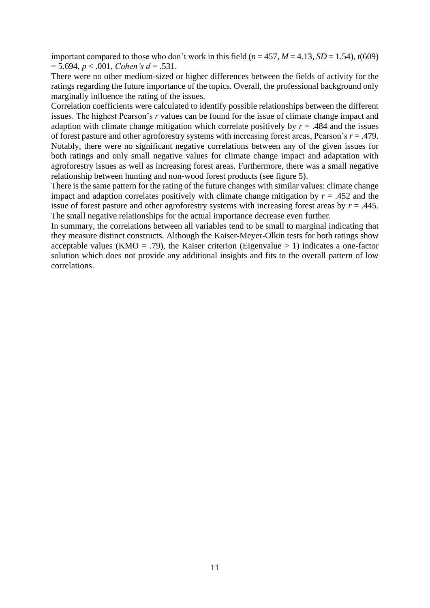important compared to those who don't work in this field  $(n = 457, M = 4.13, SD = 1.54)$ ,  $t(609)$  $= 5.694, p < .001, Cohen's d = .531.$ 

There were no other medium-sized or higher differences between the fields of activity for the ratings regarding the future importance of the topics. Overall, the professional background only marginally influence the rating of the issues.

Correlation coefficients were calculated to identify possible relationships between the different issues. The highest Pearson's *r* values can be found for the issue of climate change impact and adaption with climate change mitigation which correlate positively by  $r = .484$  and the issues of forest pasture and other agroforestry systems with increasing forest areas, Pearson's *r* = .479. Notably, there were no significant negative correlations between any of the given issues for both ratings and only small negative values for climate change impact and adaptation with agroforestry issues as well as increasing forest areas. Furthermore, there was a small negative relationship between hunting and non-wood forest products (see figure 5).

There is the same pattern for the rating of the future changes with similar values: climate change impact and adaption correlates positively with climate change mitigation by  $r = .452$  and the issue of forest pasture and other agroforestry systems with increasing forest areas by  $r = .445$ . The small negative relationships for the actual importance decrease even further.

In summary, the correlations between all variables tend to be small to marginal indicating that they measure distinct constructs. Although the Kaiser-Meyer-Olkin tests for both ratings show acceptable values (KMO = .79), the Kaiser criterion (Eigenvalue > 1) indicates a one-factor solution which does not provide any additional insights and fits to the overall pattern of low correlations.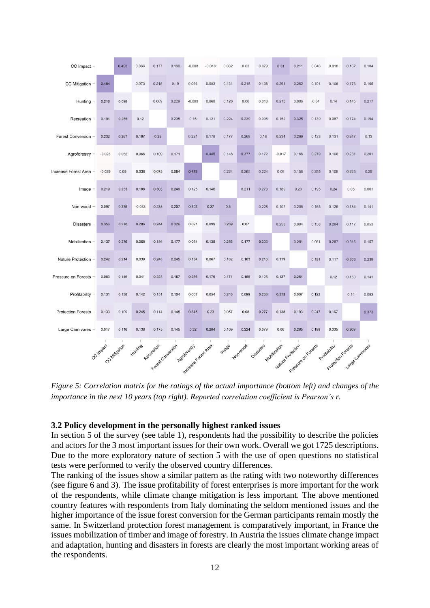| $CC$ Impact $-$           |                    | 0.452 | 0.066                           | 0.177 | 0.188 | $-0.008$              | $-0.018$ | 0.032 | 0.03     | 0.079     | 0.31         | 0.211                                    | 0.046 | 0.018 | 0.167                     | 0.104 |
|---------------------------|--------------------|-------|---------------------------------|-------|-------|-----------------------|----------|-------|----------|-----------|--------------|------------------------------------------|-------|-------|---------------------------|-------|
| CC Mitigation             | 0.484              |       | 0.073                           | 0.215 | 0.19  | 0.066                 | 0.083    | 0.131 | 0.218    | 0.138     | 0.261        | 0.262                                    | 0.104 | 0.108 | 0.176                     | 0.105 |
| Hunting                   | 0.218              | 0.098 |                                 | 0.089 | 0.229 | $-0.009$              | 0.068    | 0.128 | 0.06     | 0.018     | 0.213        | 0.086                                    | 0.04  | 0.14  | 0.145                     | 0.217 |
| Recreation                | 0.191              | 0.265 | 0.12                            |       | 0.205 | 0.15                  | 0.121    | 0.224 | 0.239    | 0.095     | 0.152        | 0.325                                    | 0.139 | 0.087 | 0.174                     | 0.194 |
| <b>Forest Conversion</b>  | 0.232              | 0.267 | 0.197                           | 0.29  |       | 0.221                 | 0.178    | 0.177 | 0.268    | 0.18      | 0.234        | 0.299                                    | 0.123 | 0.131 | 0.247                     | 0.13  |
| Agroforestry              | $-0.023$           | 0.052 | 0.066                           | 0.109 | 0.171 |                       | 0.445    | 0.148 | 0.377    | 0.172     | $-0.017$     | 0.168                                    | 0.279 | 0.106 | 0.231                     | 0.201 |
| Increase Forest Area      | $-0.029$           | 0.09  | 0.038                           | 0.075 | 0.084 | 0.479                 |          | 0.224 | 0.265    | 0.224     | 0.09         | 0.156                                    | 0.255 | 0.108 | 0.225                     | 0.25  |
| Image                     | 0.219              | 0.233 | 0.186                           | 0.303 | 0.249 | 0.125                 | 0.146    |       | 0.211    | 0.273     | 0.189        | 0.23                                     | 0.195 | 0.24  | 0.05                      | 0.061 |
| Non-wood                  | 0.097              | 0.275 | $-0.033$                        | 0.238 | 0.207 | 0.303                 | 0.27     | 0.3   |          | 0.228     | 0.107        | 0.208                                    | 0.165 | 0.126 | 0.184                     | 0.141 |
| <b>Disasters</b>          | 0.356              | 0.278 | 0.286                           | 0.244 | 0.326 | 0.021                 | 0.099    | 0.269 | 0.07     |           | 0.253        | 0.084                                    | 0.158 | 0.284 | 0.117                     | 0.053 |
| Mobilization              | 0.137              | 0.276 | 0.068                           | 0.186 | 0.177 | 0.054                 | 0.138    | 0.256 | 0.177    | 0.303     |              | 0.281                                    | 0.061 | 0.287 | 0.316                     | 0.157 |
| <b>Nature Protection</b>  | 0.242              | 0.214 | 0.039                           | 0.248 | 0.245 | 0.184                 | 0.067    | 0.162 | 0.163    | 0.216     | 0.119        |                                          | 0.191 | 0.117 | 0.303                     | 0.239 |
| Pressure on Forests       | 0.083              | 0.146 | 0.041                           | 0.228 | 0.157 | 0.256                 | 0.176    | 0.171 | 0.165    | 0.125     | 0.137        | 0.264                                    |       | 0.12  | 0.159                     | 0.141 |
| Profitability             | 0.131              | 0.138 | 0.142                           | 0.151 | 0.104 | 0.007                 | 0.054    | 0.246 | 0.099    | 0.268     | 0.313        | 0.007                                    | 0.122 |       | 0.14                      | 0.093 |
| <b>Protection Forests</b> | 0.133              | 0.109 | 0.245                           | 0.114 | 0.145 | 0.315                 | 0.23     | 0.057 | 0.08     | 0.277     | 0.138        | 0.193                                    | 0.247 | 0.167 |                           | 0.373 |
| <b>Large Carnivores</b>   | 0.017              | 0.116 | 0.138                           | 0.175 | 0.145 | 0.32                  | 0.284    | 0.109 | 0.224    | 0.079     | 0.06         | 0.265                                    | 0.198 | 0.035 | 0.309                     |       |
|                           | CC Impact Milogion |       |                                 |       |       | Adroitorestry         |          | Image | Non-wood | Disasters | Mobilization |                                          |       |       |                           |       |
|                           |                    |       | KNorting Registered Contraction |       |       | Instrages Forest Area |          |       |          |           |              | Nature Protection<br>Preselve on Koreals |       |       | Profession Land Carriedes |       |

*Figure 5: Correlation matrix for the ratings of the actual importance (bottom left) and changes of the importance in the next 10 years (top right). Reported correlation coefficient is Pearson's r.* 

#### **3.2 Policy development in the personally highest ranked issues**

In section 5 of the survey (see table 1), respondents had the possibility to describe the policies and actors for the 3 most important issues for their own work. Overall we got 1725 descriptions. Due to the more exploratory nature of section 5 with the use of open questions no statistical tests were performed to verify the observed country differences.

The ranking of the issues show a similar pattern as the rating with two noteworthy differences (see figure 6 and 3). The issue profitability of forest enterprises is more important for the work of the respondents, while climate change mitigation is less important. The above mentioned country features with respondents from Italy dominating the seldom mentioned issues and the higher importance of the issue forest conversion for the German participants remain mostly the same. In Switzerland protection forest management is comparatively important, in France the issues mobilization of timber and image of forestry. In Austria the issues climate change impact and adaptation, hunting and disasters in forests are clearly the most important working areas of the respondents.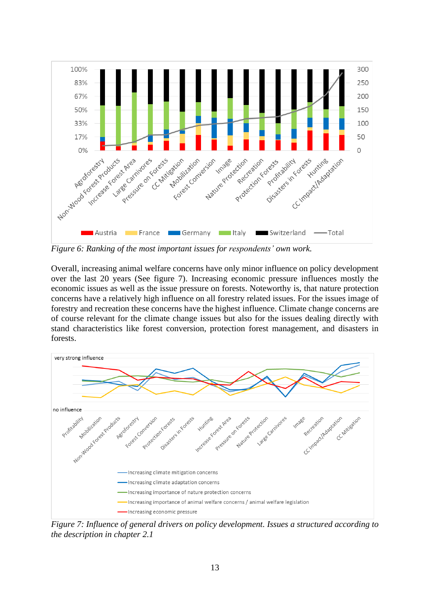

*Figure 6: Ranking of the most important issues for respondents' own work.* 

Overall, increasing animal welfare concerns have only minor influence on policy development over the last 20 years (See figure 7). Increasing economic pressure influences mostly the economic issues as well as the issue pressure on forests. Noteworthy is, that nature protection concerns have a relatively high influence on all forestry related issues. For the issues image of forestry and recreation these concerns have the highest influence. Climate change concerns are of course relevant for the climate change issues but also for the issues dealing directly with stand characteristics like forest conversion, protection forest management, and disasters in forests.



*Figure 7: Influence of general drivers on policy development. Issues a structured according to the description in chapter 2.1*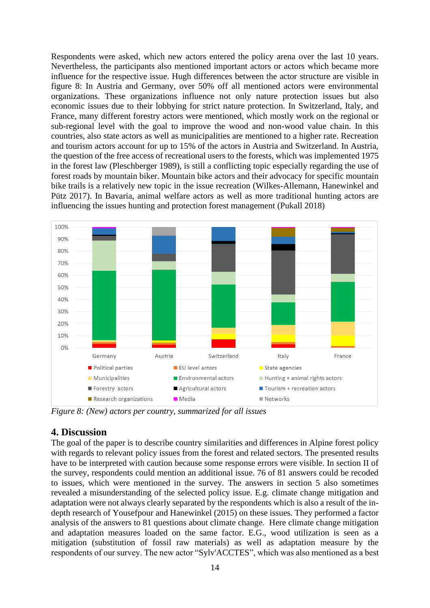Respondents were asked, which new actors entered the policy arena over the last 10 years. Nevertheless, the participants also mentioned important actors or actors which became more influence for the respective issue. Hugh differences between the actor structure are visible in figure 8: In Austria and Germany, over 50% off all mentioned actors were environmental organizations. These organizations influence not only nature protection issues but also economic issues due to their lobbying for strict nature protection. In Switzerland, Italy, and France, many different forestry actors were mentioned, which mostly work on the regional or sub-regional level with the goal to improve the wood and non-wood value chain. In this countries, also state actors as well as municipalities are mentioned to a higher rate. Recreation and tourism actors account for up to 15% of the actors in Austria and Switzerland. In Austria, the question of the free access of recreational users to the forests, which was implemented 1975 in the forest law (Pleschberger 1989), is still a conflicting topic especially regarding the use of forest roads by mountain biker. Mountain bike actors and their advocacy for specific mountain bike trails is a relatively new topic in the issue recreation (Wilkes-Allemann, Hanewinkel and Pütz 2017). In Bavaria, animal welfare actors as well as more traditional hunting actors are influencing the issues hunting and protection forest management (Pukall 2018)



*Figure 8: (New) actors per country, summarized for all issues*

### **4. Discussion**

The goal of the paper is to describe country similarities and differences in Alpine forest policy with regards to relevant policy issues from the forest and related sectors. The presented results have to be interpreted with caution because some response errors were visible. In section II of the survey, respondents could mention an additional issue. 76 of 81 answers could be recoded to issues, which were mentioned in the survey. The answers in section 5 also sometimes revealed a misunderstanding of the selected policy issue. E.g. climate change mitigation and adaptation were not always clearly separated by the respondents which is also a result of the indepth research of Yousefpour and Hanewinkel (2015) on these issues. They performed a factor analysis of the answers to 81 questions about climate change. Here climate change mitigation and adaptation measures loaded on the same factor. E.G., wood utilization is seen as a mitigation (substitution of fossil raw materials) as well as adaptation measure by the respondents of our survey. The new actor "Sylv'ACCTES", which was also mentioned as a best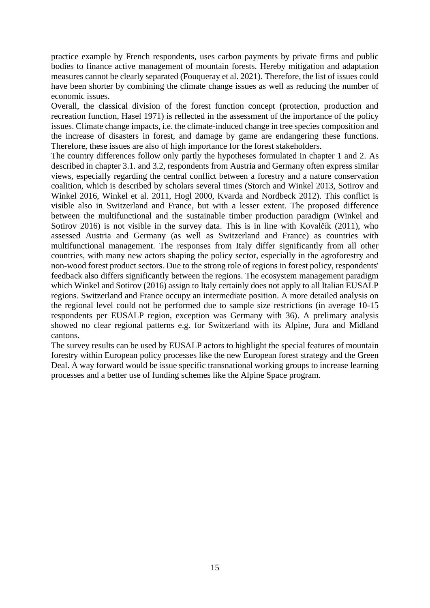practice example by French respondents, uses carbon payments by private firms and public bodies to finance active management of mountain forests. Hereby mitigation and adaptation measures cannot be clearly separated (Fouqueray et al. 2021). Therefore, the list of issues could have been shorter by combining the climate change issues as well as reducing the number of economic issues.

Overall, the classical division of the forest function concept (protection, production and recreation function, Hasel 1971) is reflected in the assessment of the importance of the policy issues. Climate change impacts, i.e. the climate-induced change in tree species composition and the increase of disasters in forest, and damage by game are endangering these functions. Therefore, these issues are also of high importance for the forest stakeholders.

The country differences follow only partly the hypotheses formulated in chapter 1 and 2. As described in chapter 3.1. and 3.2, respondents from Austria and Germany often express similar views, especially regarding the central conflict between a forestry and a nature conservation coalition, which is described by scholars several times (Storch and Winkel 2013, Sotirov and Winkel 2016, Winkel et al. 2011, Hogl 2000, Kvarda and Nordbeck 2012). This conflict is visible also in Switzerland and France, but with a lesser extent. The proposed difference between the multifunctional and the sustainable timber production paradigm (Winkel and Sotirov 2016) is not visible in the survey data. This is in line with Kovalčík (2011), who assessed Austria and Germany (as well as Switzerland and France) as countries with multifunctional management. The responses from Italy differ significantly from all other countries, with many new actors shaping the policy sector, especially in the agroforestry and non-wood forest product sectors. Due to the strong role of regions in forest policy, respondents' feedback also differs significantly between the regions. The ecosystem management paradigm which Winkel and Sotirov (2016) assign to Italy certainly does not apply to all Italian EUSALP regions. Switzerland and France occupy an intermediate position. A more detailed analysis on the regional level could not be performed due to sample size restrictions (in average 10-15 respondents per EUSALP region, exception was Germany with 36). A prelimary analysis showed no clear regional patterns e.g. for Switzerland with its Alpine, Jura and Midland cantons.

The survey results can be used by EUSALP actors to highlight the special features of mountain forestry within European policy processes like the new European forest strategy and the Green Deal. A way forward would be issue specific transnational working groups to increase learning processes and a better use of funding schemes like the Alpine Space program.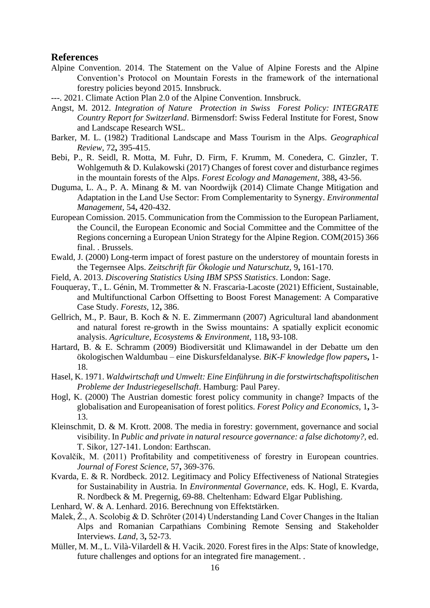#### **References**

- Alpine Convention. 2014. The Statement on the Value of Alpine Forests and the Alpine Convention's Protocol on Mountain Forests in the framework of the international forestry policies beyond 2015. Innsbruck.
- ---. 2021. Climate Action Plan 2.0 of the Alpine Convention. Innsbruck.
- Angst, M. 2012. *Integration of Nature Protection in Swiss Forest Policy: INTEGRATE Country Report for Switzerland*. Birmensdorf: Swiss Federal Institute for Forest, Snow and Landscape Research WSL.
- Barker, M. L. (1982) Traditional Landscape and Mass Tourism in the Alps. *Geographical Review,* 72**,** 395-415.
- Bebi, P., R. Seidl, R. Motta, M. Fuhr, D. Firm, F. Krumm, M. Conedera, C. Ginzler, T. Wohlgemuth & D. Kulakowski (2017) Changes of forest cover and disturbance regimes in the mountain forests of the Alps. *Forest Ecology and Management,* 388**,** 43-56.
- Duguma, L. A., P. A. Minang & M. van Noordwijk (2014) Climate Change Mitigation and Adaptation in the Land Use Sector: From Complementarity to Synergy. *Environmental Management,* 54**,** 420-432.
- European Comission. 2015. Communication from the Commission to the European Parliament, the Council, the European Economic and Social Committee and the Committee of the Regions concerning a European Union Strategy for the Alpine Region. COM(2015) 366 final. . Brussels.
- Ewald, J. (2000) Long-term impact of forest pasture on the understorey of mountain forests in the Tegernsee Alps. *Zeitschrift für Ökologie und Naturschutz,* 9**,** 161-170.
- Field, A. 2013. *Discovering Statistics Using IBM SPSS Statistics*. London: Sage.
- Fouqueray, T., L. Génin, M. Trommetter & N. Frascaria-Lacoste (2021) Efficient, Sustainable, and Multifunctional Carbon Offsetting to Boost Forest Management: A Comparative Case Study. *Forests,* 12**,** 386.
- Gellrich, M., P. Baur, B. Koch & N. E. Zimmermann (2007) Agricultural land abandonment and natural forest re-growth in the Swiss mountains: A spatially explicit economic analysis. *Agriculture, Ecosystems & Environment,* 118**,** 93-108.
- Hartard, B. & E. Schramm (2009) Biodiversität und Klimawandel in der Debatte um den ökologischen Waldumbau – eine Diskursfeldanalyse. *BiK-F knowledge flow papers***,** 1- 18.
- Hasel, K. 1971. *Waldwirtschaft und Umwelt: Eine Einführung in die forstwirtschaftspolitischen Probleme der Industriegesellschaft*. Hamburg: Paul Parey.
- Hogl, K. (2000) The Austrian domestic forest policy community in change? Impacts of the globalisation and Europeanisation of forest politics. *Forest Policy and Economics,* 1**,** 3- 13.
- Kleinschmit, D. & M. Krott. 2008. The media in forestry: government, governance and social visibility. In *Public and private in natural resource governance: a false dichotomy?,* ed. T. Sikor, 127-141. London: Earthscan.
- Kovalčík, M. (2011) Profitability and competitiveness of forestry in European countries. *Journal of Forest Science,* 57**,** 369-376.
- Kvarda, E. & R. Nordbeck. 2012. Legitimacy and Policy Effectiveness of National Strategies for Sustainability in Austria. In *Environmental Governance,* eds. K. Hogl, E. Kvarda, R. Nordbeck & M. Pregernig, 69-88. Cheltenham: Edward Elgar Publishing.
- Lenhard, W. & A. Lenhard. 2016. Berechnung von Effektstärken.
- Malek, Ž., A. Scolobig & D. Schröter (2014) Understanding Land Cover Changes in the Italian Alps and Romanian Carpathians Combining Remote Sensing and Stakeholder Interviews. *Land,* 3**,** 52-73.
- Müller, M. M., L. Vilà-Vilardell & H. Vacik. 2020. Forest fires in the Alps: State of knowledge, future challenges and options for an integrated fire management. .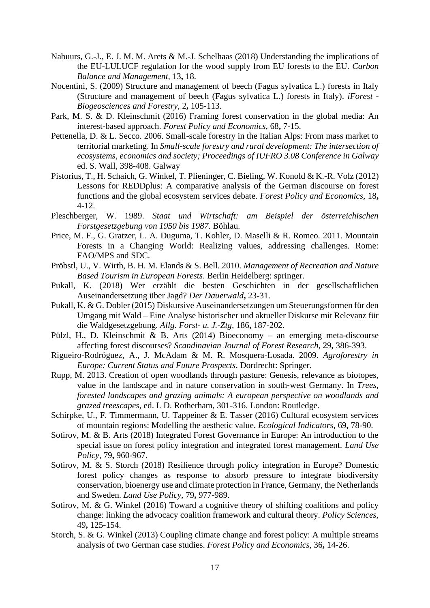- Nabuurs, G.-J., E. J. M. M. Arets & M.-J. Schelhaas (2018) Understanding the implications of the EU-LULUCF regulation for the wood supply from EU forests to the EU. *Carbon Balance and Management,* 13**,** 18.
- Nocentini, S. (2009) Structure and management of beech (Fagus sylvatica L.) forests in Italy (Structure and management of beech (Fagus sylvatica L.) forests in Italy). *iForest - Biogeosciences and Forestry,* 2**,** 105-113.
- Park, M. S. & D. Kleinschmit (2016) Framing forest conservation in the global media: An interest-based approach. *Forest Policy and Economics,* 68**,** 7-15.
- Pettenella, D. & L. Secco. 2006. Small-scale forestry in the Italian Alps: From mass market to territorial marketing. In *Small-scale forestry and rural development: The intersection of ecosystems, economics and society; Proceedings of IUFRO 3.08 Conference in Galway*  ed. S. Wall, 398-408. Galway
- Pistorius, T., H. Schaich, G. Winkel, T. Plieninger, C. Bieling, W. Konold & K.-R. Volz (2012) Lessons for REDDplus: A comparative analysis of the German discourse on forest functions and the global ecosystem services debate. *Forest Policy and Economics,* 18**,** 4-12.
- Pleschberger, W. 1989. *Staat und Wirtschaft: am Beispiel der österreichischen Forstgesetzgebung von 1950 bis 1987*. Böhlau.
- Price, M. F., G. Gratzer, L. A. Duguma, T. Kohler, D. Maselli & R. Romeo. 2011. Mountain Forests in a Changing World: Realizing values, addressing challenges. Rome: FAO/MPS and SDC.
- Pröbstl, U., V. Wirth, B. H. M. Elands & S. Bell. 2010. *Management of Recreation and Nature Based Tourism in European Forests*. Berlin Heidelberg: springer.
- Pukall, K. (2018) Wer erzählt die besten Geschichten in der gesellschaftlichen Auseinandersetzung über Jagd? *Der Dauerwald***,** 23-31.
- Pukall, K. & G. Dobler (2015) Diskursive Auseinandersetzungen um Steuerungsformen für den Umgang mit Wald – Eine Analyse historischer und aktueller Diskurse mit Relevanz für die Waldgesetzgebung. *Allg. Forst- u. J.-Ztg,* 186**,** 187-202.
- Pülzl, H., D. Kleinschmit & B. Arts (2014) Bioeconomy an emerging meta-discourse affecting forest discourses? *Scandinavian Journal of Forest Research,* 29**,** 386-393.
- Rigueiro-Rodróguez, A., J. McAdam & M. R. Mosquera-Losada. 2009. *Agroforestry in Europe: Current Status and Future Prospects*. Dordrecht: Springer.
- Rupp, M. 2013. Creation of open woodlands through pasture: Genesis, relevance as biotopes, value in the landscape and in nature conservation in south‐west Germany. In *Trees, forested landscapes and grazing animals: A european perspective on woodlands and grazed treescapes,* ed. I. D. Rotherham, 301-316. London: Routledge.
- Schirpke, U., F. Timmermann, U. Tappeiner & E. Tasser (2016) Cultural ecosystem services of mountain regions: Modelling the aesthetic value. *Ecological Indicators,* 69**,** 78-90.
- Sotirov, M. & B. Arts (2018) Integrated Forest Governance in Europe: An introduction to the special issue on forest policy integration and integrated forest management. *Land Use Policy,* 79**,** 960-967.
- Sotirov, M. & S. Storch (2018) Resilience through policy integration in Europe? Domestic forest policy changes as response to absorb pressure to integrate biodiversity conservation, bioenergy use and climate protection in France, Germany, the Netherlands and Sweden. *Land Use Policy,* 79**,** 977-989.
- Sotirov, M. & G. Winkel (2016) Toward a cognitive theory of shifting coalitions and policy change: linking the advocacy coalition framework and cultural theory. *Policy Sciences,* 49**,** 125-154.
- Storch, S. & G. Winkel (2013) Coupling climate change and forest policy: A multiple streams analysis of two German case studies. *Forest Policy and Economics,* 36**,** 14-26.